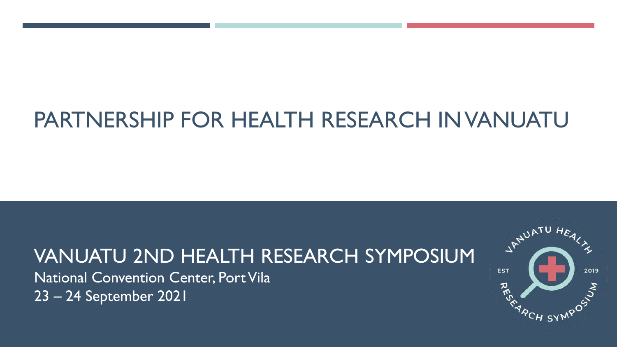# PARTNERSHIP FOR HEALTH RESEARCH IN VANUATU

## VANUATU 2ND HEALTH RESEARCH SYMPOSIUM

National Convention Center, Port Vila 23 – 24 September 2021

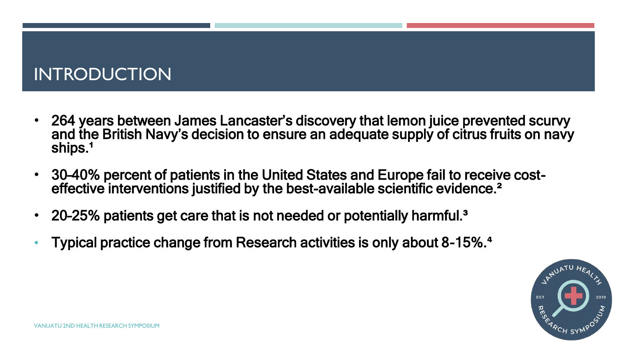### INTRODUCTION

- 264 years between James Lancaster's discovery that lemon juice prevented scurvy and the British Navy's decision to ensure an adequate supply of citrus fruits on navy ships.<sup>1</sup>
- 30–40% percent of patients in the United States and Europe fail to receive costeffective interventions justified by the best-available scientific evidence.<sup>2</sup>
- 20–25% patients get care that is not needed or potentially harmful.³
- Typical practice change from Research activities is only about 8-15%.**⁴**

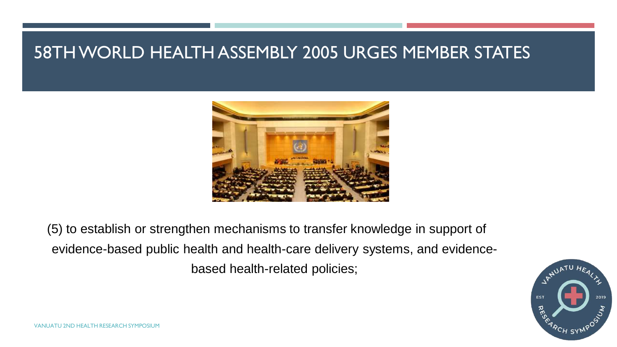### 58TH WORLD HEALTH ASSEMBLY 2005 URGES MEMBER STATES



(5) to establish or strengthen mechanisms to transfer knowledge in support of evidence-based public health and health-care delivery systems, and evidencebased health-related policies;

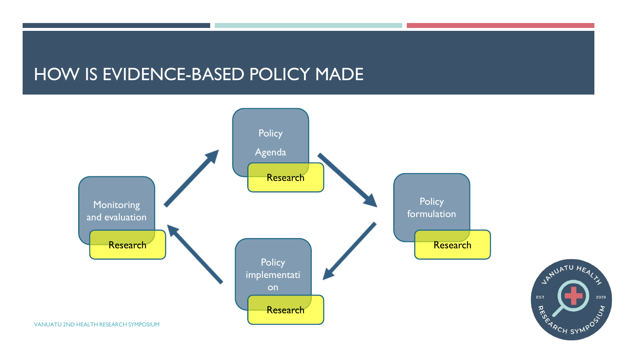### HOW IS EVIDENCE-BASED POLICY MADE



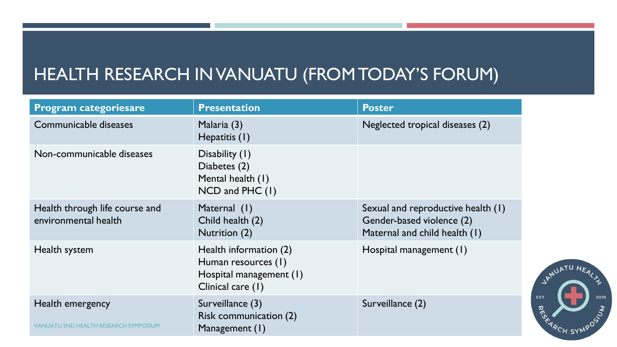### HEALTH RESEARCH IN VANUATU (FROM TODAY'S FORUM)

| <b>Program categoriesare</b>                                     | <b>Presentation</b>                                                                           | <b>Poster</b>                                                                                    |
|------------------------------------------------------------------|-----------------------------------------------------------------------------------------------|--------------------------------------------------------------------------------------------------|
| Communicable diseases                                            | Malaria (3)<br>Hepatitis (1)                                                                  | Neglected tropical diseases (2)                                                                  |
| Non-communicable diseases                                        | Disability (1)<br>Diabetes (2)<br>Mental health (1)<br>NCD and PHC (1)                        |                                                                                                  |
| Health through life course and<br>environmental health           | Maternal (1)<br>Child health (2)<br>Nutrition (2)                                             | Sexual and reproductive health (1)<br>Gender-based violence (2)<br>Maternal and child health (1) |
| Health system                                                    | Health information (2)<br>Human resources (1)<br>Hospital management (1)<br>Clinical care (1) | Hospital management (1)                                                                          |
| Health emergency<br><b>VANUATU 2ND HEALTH RESEARCH SYMPOSIUM</b> | Surveillance (3)<br>Risk communication (2)<br>Management (1)                                  | Surveillance (2)                                                                                 |

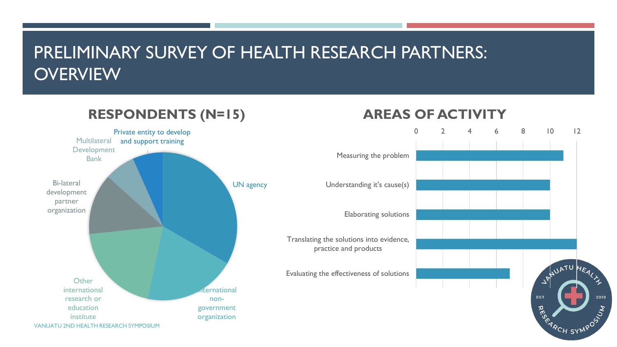### PRELIMINARY SURVEY OF HEALTH RESEARCH PARTNERS: **OVERVIEW**

#### UN agency **Iternational** nongovernment organization **Other** international research or education institute Bi-lateral development partner organization **Multilateral** Development Bank Private entity to develop and support training **RESPONDENTS (N=15)** VANUATU 2ND HEALTH RESEARCH SYMPOSIUM

### **AREAS OF ACTIVITY**

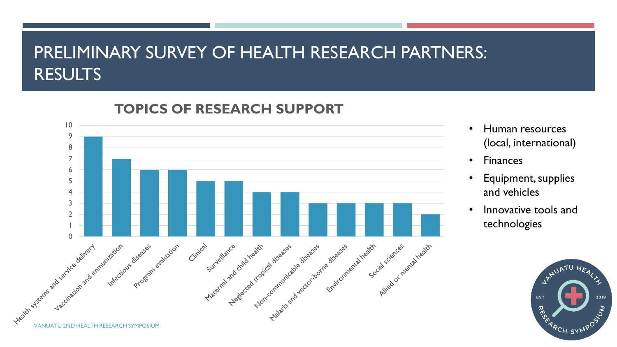### PRELIMINARY SURVEY OF HEALTH RESEARCH PARTNERS: **RESULTS**



### **TOPICS OF RESEARCH SUPPORT**

- Human resources (local, international)
- Finances
- Equipment, supplies and vehicles
- Innovative tools and technologies

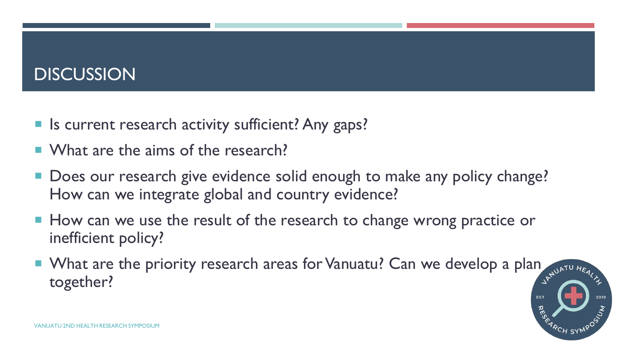### **DISCUSSION**

- Is current research activity sufficient? Any gaps?
- What are the aims of the research?
- Does our research give evidence solid enough to make any policy change? How can we integrate global and country evidence?
- How can we use the result of the research to change wrong practice or inefficient policy?
- What are the priority research areas for Vanuatu? Can we develop a plan  $\frac{1}{2}$ together?